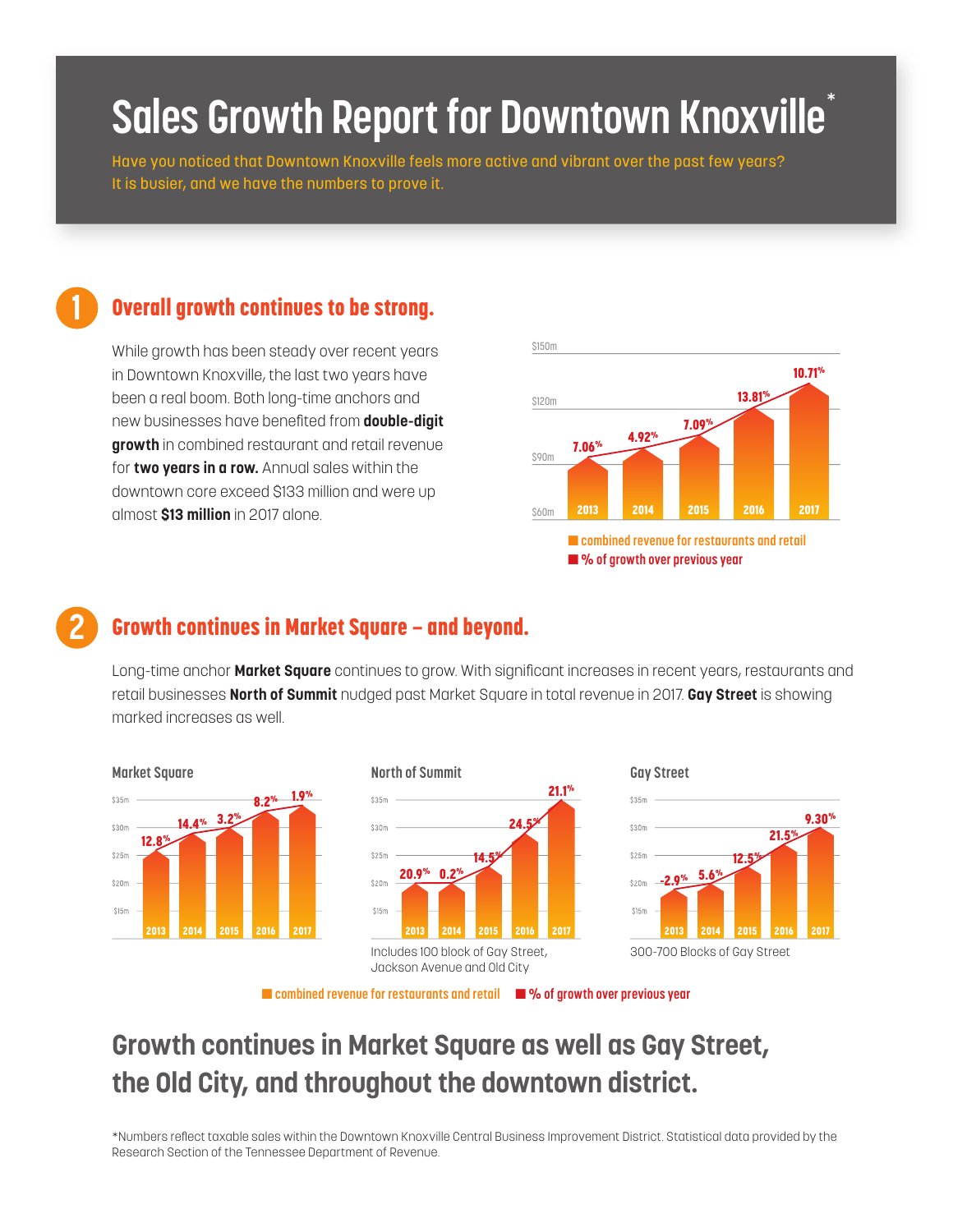# **Sales Growth Report for Downtown Knoxville**\*

Have you noticed that Downtown Knoxville feels more active and vibrant over the past few years? It is busier, and we have the numbers to prove it.

### **1** Overall growth continues to be strong.

While growth has been steady over recent years in Downtown Knoxville, the last two years have been a real boom. Both long-time anchors and new businesses have benefited from **double-digit growth** in combined restaurant and retail revenue for **two years in a row.** Annual sales within the downtown core exceed \$133 million and were up almost **\$13 million** in 2017 alone.



#### **2** Growth continues in Market Square — and beyond.

Long-time anchor **Market Square** continues to grow. With significant increases in recent years, restaurants and retail businesses **North of Summit** nudged past Market Square in total revenue in 2017. **Gay Street** is showing marked increases as well.



■ **combined revenue for restaurants and retail** ■ **% of growth over previous year**

# **Growth continues in Market Square as well as Gay Street, the Old City, and throughout the downtown district.**

\*Numbers reflect taxable sales within the Downtown Knoxville Central Business Improvement District. Statistical data provided by the Research Section of the Tennessee Department of Revenue.